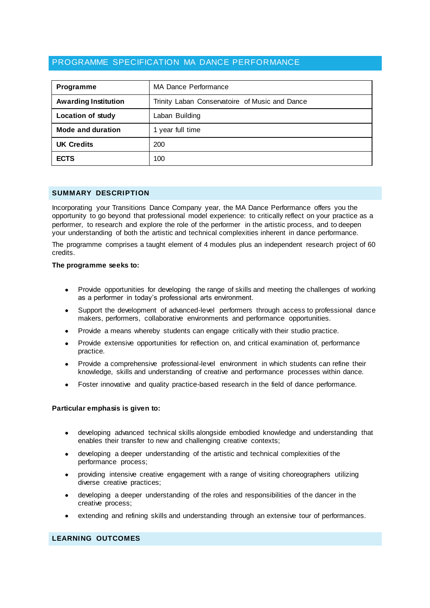# PROGRAMME SPECIFICATION MA DANCE PERFORMANCE

| Programme                   | MA Dance Performance                           |  |  |  |
|-----------------------------|------------------------------------------------|--|--|--|
| <b>Awarding Institution</b> | Trinity Laban Conservatoire of Music and Dance |  |  |  |
| <b>Location of study</b>    | Laban Building                                 |  |  |  |
| Mode and duration           | 1 year full time                               |  |  |  |
| <b>UK Credits</b>           | 200                                            |  |  |  |
| <b>ECTS</b>                 | 100                                            |  |  |  |

#### **SUMMARY DESCRIPTION**

Incorporating your Transitions Dance Company year, the MA Dance Performance offers you the opportunity to go beyond that professional model experience: to critically reflect on your practice as a performer, to research and explore the role of the performer in the artistic process, and to deepen your understanding of both the artistic and technical complexities inherent in dance performance.

The programme comprises a taught element of 4 modules plus an independent research project of 60 credits.

#### **The programme seeks to:**

- Provide opportunities for developing the range of skills and meeting the challenges of working as a performer in today's professional arts environment.
- Support the development of advanced-level performers through access to professional dance makers, performers, collaborative environments and performance opportunities.
- Provide a means whereby students can engage critically with their studio practice.
- Provide extensive opportunities for reflection on, and critical examination of, performance practice.
- Provide a comprehensive professional-level environment in which students can refine their knowledge, skills and understanding of creative and performance processes within dance.
- Foster innovative and quality practice-based research in the field of dance performance.

#### **Particular emphasis is given to:**

- developing advanced technical skills alongside embodied knowledge and understanding that enables their transfer to new and challenging creative contexts;
- developing a deeper understanding of the artistic and technical complexities of the performance process;
- providing intensive creative engagement with a range of visiting choreographers utilizing diverse creative practices;
- developing a deeper understanding of the roles and responsibilities of the dancer in the creative process;
- extending and refining skills and understanding through an extensive tour of performances.

# **LEARNING OUTCOMES**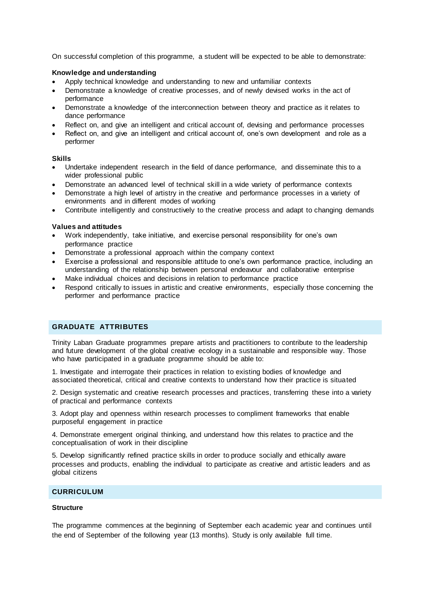On successful completion of this programme, a student will be expected to be able to demonstrate:

#### **Knowledge and understanding**

- Apply technical knowledge and understanding to new and unfamiliar contexts
- Demonstrate a knowledge of creative processes, and of newly devised works in the act of performance
- Demonstrate a knowledge of the interconnection between theory and practice as it relates to dance performance
- Reflect on, and give an intelligent and critical account of, devising and performance processes
- Reflect on, and give an intelligent and critical account of, one's own development and role as a performer

#### **Skills**

- Undertake independent research in the field of dance performance, and disseminate this to a wider professional public
- Demonstrate an advanced level of technical skill in a wide variety of performance contexts
- Demonstrate a high level of artistry in the creative and performance processes in a variety of environments and in different modes of working
- Contribute intelligently and constructively to the creative process and adapt to changing demands

#### **Values and attitudes**

- Work independently, take initiative, and exercise personal responsibility for one's own performance practice
- Demonstrate a professional approach within the company context
- Exercise a professional and responsible attitude to one's own performance practice, including an understanding of the relationship between personal endeavour and collaborative enterprise
- Make individual choices and decisions in relation to performance practice
- Respond critically to issues in artistic and creative environments, especially those concerning the performer and performance practice

# **GRADUATE ATTRIBUTES**

Trinity Laban Graduate programmes prepare artists and practitioners to contribute to the leadership and future development of the global creative ecology in a sustainable and responsible way. Those who have participated in a graduate programme should be able to:

1. Investigate and interrogate their practices in relation to existing bodies of knowledge and associated theoretical, critical and creative contexts to understand how their practice is situated

2. Design systematic and creative research processes and practices, transferring these into a variety of practical and performance contexts

3. Adopt play and openness within research processes to compliment frameworks that enable purposeful engagement in practice

4. Demonstrate emergent original thinking, and understand how this relates to practice and the conceptualisation of work in their discipline

5. Develop significantly refined practice skills in order to produce socially and ethically aware processes and products, enabling the individual to participate as creative and artistic leaders and as global citizens

# **CURRICULUM**

#### **Structure**

The programme commences at the beginning of September each academic year and continues until the end of September of the following year (13 months). Study is only available full time.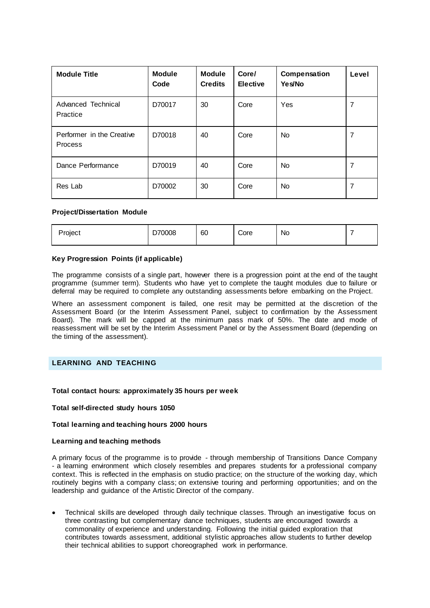| <b>Module Title</b>                         | <b>Module</b><br>Code | <b>Module</b><br><b>Credits</b> | Core/<br><b>Elective</b> | Compensation<br>Yes/No | Level |
|---------------------------------------------|-----------------------|---------------------------------|--------------------------|------------------------|-------|
| Advanced Technical<br>Practice              | D70017                | 30                              | Core                     | Yes                    | 7     |
| Performer in the Creative<br><b>Process</b> | D70018                | 40                              | Core                     | <b>No</b>              | 7     |
| Dance Performance                           | D70019                | 40                              | Core                     | No.                    | 7     |
| Res Lab                                     | D70002                | 30                              | Core                     | No.                    | 7     |

#### **Project/Dissertation Module**

| Project | 70008<br>◡ | 60 | -<br>Core | No |  |
|---------|------------|----|-----------|----|--|
|         |            |    |           |    |  |

#### **Key Progression Points (if applicable)**

The programme consists of a single part, however there is a progression point at the end of the taught programme (summer term). Students who have yet to complete the taught modules due to failure or deferral may be required to complete any outstanding assessments before embarking on the Project.

Where an assessment component is failed, one resit may be permitted at the discretion of the Assessment Board (or the Interim Assessment Panel, subject to confirmation by the Assessment Board). The mark will be capped at the minimum pass mark of 50%. The date and mode of reassessment will be set by the Interim Assessment Panel or by the Assessment Board (depending on the timing of the assessment).

# **LEARNING AND TEACHING**

#### **Total contact hours: approximately 35 hours per week**

#### **Total self-directed study hours 1050**

#### **Total learning and teaching hours 2000 hours**

#### **Learning and teaching methods**

A primary focus of the programme is to provide - through membership of Transitions Dance Company - a learning environment which closely resembles and prepares students for a professional company context. This is reflected in the emphasis on studio practice; on the structure of the working day, which routinely begins with a company class; on extensive touring and performing opportunities; and on the leadership and guidance of the Artistic Director of the company.

 Technical skills are developed through daily technique classes. Through an investigative focus on three contrasting but complementary dance techniques, students are encouraged towards a commonality of experience and understanding. Following the initial guided exploration that contributes towards assessment, additional stylistic approaches allow students to further develop their technical abilities to support choreographed work in performance.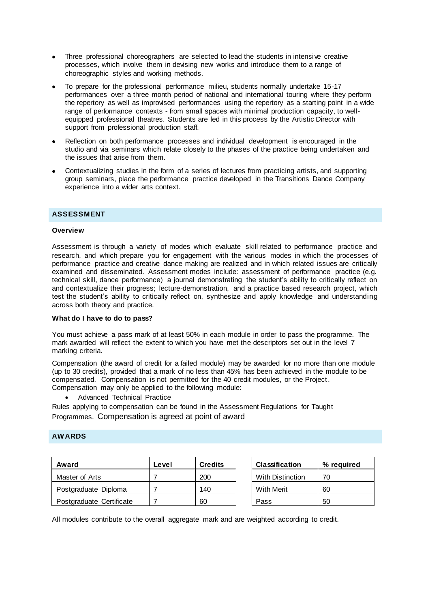- Three professional choreographers are selected to lead the students in intensive creative processes, which involve them in devising new works and introduce them to a range of choreographic styles and working methods.
- To prepare for the professional performance milieu, students normally undertake 15-17 performances over a three month period of national and international touring where they perform the repertory as well as improvised performances using the repertory as a starting point in a wide range of performance contexts - from small spaces with minimal production capacity, to wellequipped professional theatres. Students are led in this process by the Artistic Director with support from professional production staff.
- Reflection on both performance processes and individual development is encouraged in the studio and via seminars which relate closely to the phases of the practice being undertaken and the issues that arise from them.
- Contextualizing studies in the form of a series of lectures from practicing artists, and supporting group seminars, place the performance practice developed in the Transitions Dance Company experience into a wider arts context.

# **ASSESSMENT**

#### **Overview**

Assessment is through a variety of modes which evaluate skill related to performance practice and research, and which prepare you for engagement with the various modes in which the processes of performance practice and creative dance making are realized and in which related issues are critically examined and disseminated. Assessment modes include: assessment of performance practice (e.g. technical skill, dance performance) a journal demonstrating the student's ability to critically reflect on and contextualize their progress; lecture-demonstration, and a practice based research project, which test the student's ability to critically reflect on, synthesize and apply knowledge and understanding across both theory and practice.

#### **What do I have to do to pass?**

You must achieve a pass mark of at least 50% in each module in order to pass the programme. The mark awarded will reflect the extent to which you have met the descriptors set out in the level 7 marking criteria.

Compensation (the award of credit for a failed module) may be awarded for no more than one module (up to 30 credits), provided that a mark of no less than 45% has been achieved in the module to be compensated. Compensation is not permitted for the 40 credit modules, or the Project. Compensation may only be applied to the following module:

Advanced Technical Practice

Rules applying to compensation can be found in the Assessment Regulations for Taught Programmes. Compensation is agreed at point of award

# **AWARDS**

| Award                    | Level | <b>Credits</b> | <b>Classification</b> |                         | % reauired |
|--------------------------|-------|----------------|-----------------------|-------------------------|------------|
| Master of Arts           |       | 200            |                       | <b>With Distinction</b> | 70         |
| Postgraduate Diploma     |       | 140            |                       | <b>With Merit</b>       | 60         |
| Postgraduate Certificate |       | 60             |                       | Pass                    | 50         |

All modules contribute to the overall aggregate mark and are weighted according to credit.